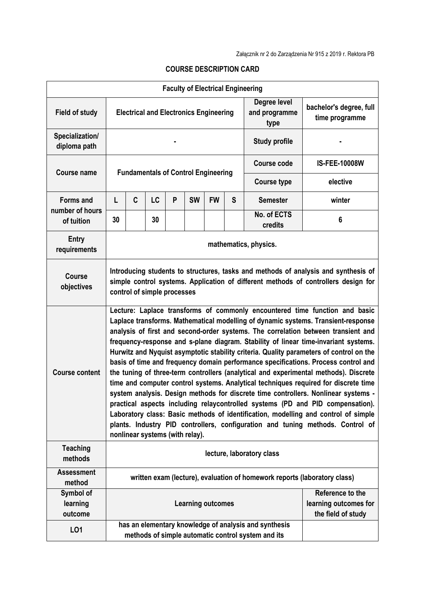|                                  |                                                                                                                                                                                                                                                                                                                                                                                                                                                                                                                                                                                                                                                                                                                                                                                                                                                                                                                                                                                                                                                                                                 |   |    |   |           |                          |                                       | <b>Faculty of Electrical Engineering</b>                                                                    |                      |  |  |  |
|----------------------------------|-------------------------------------------------------------------------------------------------------------------------------------------------------------------------------------------------------------------------------------------------------------------------------------------------------------------------------------------------------------------------------------------------------------------------------------------------------------------------------------------------------------------------------------------------------------------------------------------------------------------------------------------------------------------------------------------------------------------------------------------------------------------------------------------------------------------------------------------------------------------------------------------------------------------------------------------------------------------------------------------------------------------------------------------------------------------------------------------------|---|----|---|-----------|--------------------------|---------------------------------------|-------------------------------------------------------------------------------------------------------------|----------------------|--|--|--|
| <b>Field of study</b>            | <b>Electrical and Electronics Engineering</b>                                                                                                                                                                                                                                                                                                                                                                                                                                                                                                                                                                                                                                                                                                                                                                                                                                                                                                                                                                                                                                                   |   |    |   |           |                          | Degree level<br>and programme<br>type | bachelor's degree, full<br>time programme                                                                   |                      |  |  |  |
| Specialization/<br>diploma path  |                                                                                                                                                                                                                                                                                                                                                                                                                                                                                                                                                                                                                                                                                                                                                                                                                                                                                                                                                                                                                                                                                                 |   |    |   |           |                          |                                       | <b>Study profile</b>                                                                                        |                      |  |  |  |
| <b>Course name</b>               | <b>Fundamentals of Control Engineering</b>                                                                                                                                                                                                                                                                                                                                                                                                                                                                                                                                                                                                                                                                                                                                                                                                                                                                                                                                                                                                                                                      |   |    |   |           |                          |                                       | <b>Course code</b>                                                                                          | <b>IS-FEE-10008W</b> |  |  |  |
|                                  |                                                                                                                                                                                                                                                                                                                                                                                                                                                                                                                                                                                                                                                                                                                                                                                                                                                                                                                                                                                                                                                                                                 |   |    |   |           |                          |                                       | <b>Course type</b>                                                                                          | elective             |  |  |  |
| <b>Forms and</b>                 | L                                                                                                                                                                                                                                                                                                                                                                                                                                                                                                                                                                                                                                                                                                                                                                                                                                                                                                                                                                                                                                                                                               | C | LC | P | <b>SW</b> | <b>FW</b>                | S                                     | <b>Semester</b>                                                                                             | winter               |  |  |  |
| number of hours<br>of tuition    | 30                                                                                                                                                                                                                                                                                                                                                                                                                                                                                                                                                                                                                                                                                                                                                                                                                                                                                                                                                                                                                                                                                              |   | 30 |   |           |                          |                                       | No. of ECTS<br>credits                                                                                      | 6                    |  |  |  |
| Entry<br>requirements            | mathematics, physics.                                                                                                                                                                                                                                                                                                                                                                                                                                                                                                                                                                                                                                                                                                                                                                                                                                                                                                                                                                                                                                                                           |   |    |   |           |                          |                                       |                                                                                                             |                      |  |  |  |
| <b>Course</b><br>objectives      | Introducing students to structures, tasks and methods of analysis and synthesis of<br>simple control systems. Application of different methods of controllers design for<br>control of simple processes                                                                                                                                                                                                                                                                                                                                                                                                                                                                                                                                                                                                                                                                                                                                                                                                                                                                                         |   |    |   |           |                          |                                       |                                                                                                             |                      |  |  |  |
| <b>Course content</b>            | Lecture: Laplace transforms of commonly encountered time function and basic<br>Laplace transforms. Mathematical modelling of dynamic systems. Transient-response<br>analysis of first and second-order systems. The correlation between transient and<br>frequency-response and s-plane diagram. Stability of linear time-invariant systems.<br>Hurwitz and Nyquist asymptotic stability criteria. Quality parameters of control on the<br>basis of time and frequency domain performance specifications. Process control and<br>the tuning of three-term controllers (analytical and experimental methods). Discrete<br>time and computer control systems. Analytical techniques required for discrete time<br>system analysis. Design methods for discrete time controllers. Nonlinear systems -<br>practical aspects including relaycontrolled systems (PD and PID compensation).<br>Laboratory class: Basic methods of identification, modelling and control of simple<br>plants. Industry PID controllers, configuration and tuning methods. Control of<br>nonlinear systems (with relay). |   |    |   |           |                          |                                       |                                                                                                             |                      |  |  |  |
| <b>Teaching</b><br>methods       | lecture, laboratory class                                                                                                                                                                                                                                                                                                                                                                                                                                                                                                                                                                                                                                                                                                                                                                                                                                                                                                                                                                                                                                                                       |   |    |   |           |                          |                                       |                                                                                                             |                      |  |  |  |
| <b>Assessment</b><br>method      | written exam (lecture), evaluation of homework reports (laboratory class)                                                                                                                                                                                                                                                                                                                                                                                                                                                                                                                                                                                                                                                                                                                                                                                                                                                                                                                                                                                                                       |   |    |   |           |                          |                                       |                                                                                                             |                      |  |  |  |
| Symbol of<br>learning<br>outcome |                                                                                                                                                                                                                                                                                                                                                                                                                                                                                                                                                                                                                                                                                                                                                                                                                                                                                                                                                                                                                                                                                                 |   |    |   |           | <b>Learning outcomes</b> |                                       | Reference to the<br>learning outcomes for<br>the field of study                                             |                      |  |  |  |
| LO1                              |                                                                                                                                                                                                                                                                                                                                                                                                                                                                                                                                                                                                                                                                                                                                                                                                                                                                                                                                                                                                                                                                                                 |   |    |   |           |                          |                                       | has an elementary knowledge of analysis and synthesis<br>methods of simple automatic control system and its |                      |  |  |  |

## **COURSE DESCRIPTION CARD**